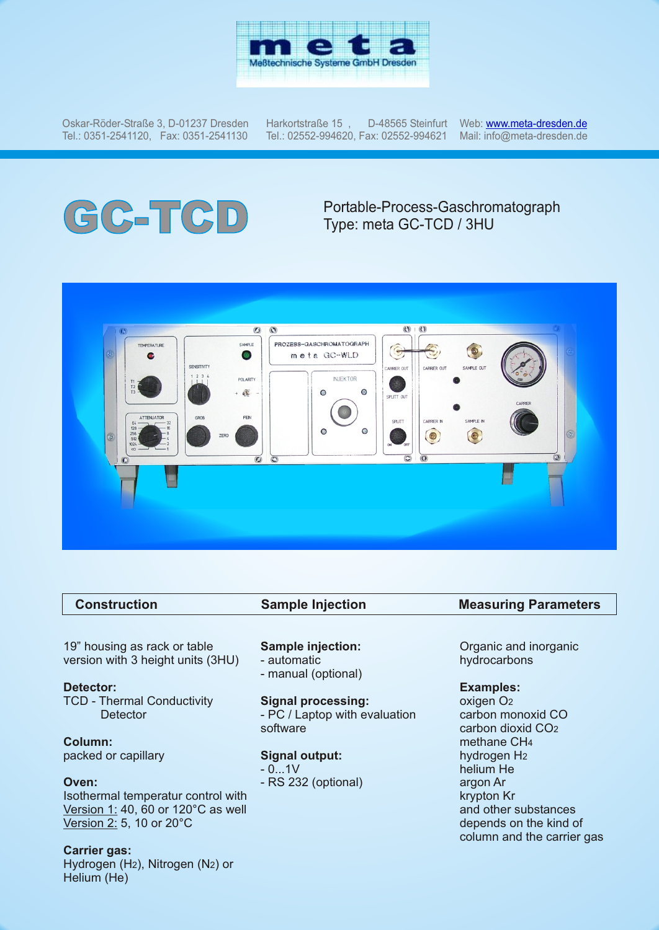

Oskar-Röder-Straße 3, D-01237 Dresden Tel.: 0351-2541120, Fax: 0351-2541130

Harkortstraße  $15$ , Tel.: 02552-994620, Fax: 02552-994621

Web: <u>w[ww.meta-dresden.de](http://www.meta-dresden.de)</u> Mail: info@meta-dresden.de

# **GC-TCD** Portable-Process-Gaschromatograph<br>Type: meta GC-TCD / 3HU Type: meta GC-TCD / 3HU



| <b>Construction</b>             | <b>Sample Injection</b> | <b>Measuring Parameters</b> |  |
|---------------------------------|-------------------------|-----------------------------|--|
|                                 |                         |                             |  |
| $10$ " houging as roak or table | Cample injection        | Organic and increasing      |  |

19" housing as rack or table version with 3 height units (3HU)

#### **Detector:**

TCD - Thermal Conductivity **Detector** 

**Column:** packed or capillary

#### **Oven:**

Isothermal temperatur control with Version 1: 40, 60 or 120°C as well Version 2: 5, 10 or 20°C

### **Carrier gas:**

Hydrogen (H2), Nitrogen (N2) or Helium (He)

### **Sample injection:**

- automatic
- manual (optional)

#### **Signal processing:**

- PC / Laptop with evaluation software

#### **Signal output:**

 $- 0...1V$ 

- RS 232 (optional)

Organic and inorganic hydrocarbons

#### **Examples:**

oxigen O2 carbon monoxid CO carbon dioxid CO2 methane CH4 hydrogen H2 helium He argon Ar krypton Kr and other substances depends on the kind of column and the carrier gas